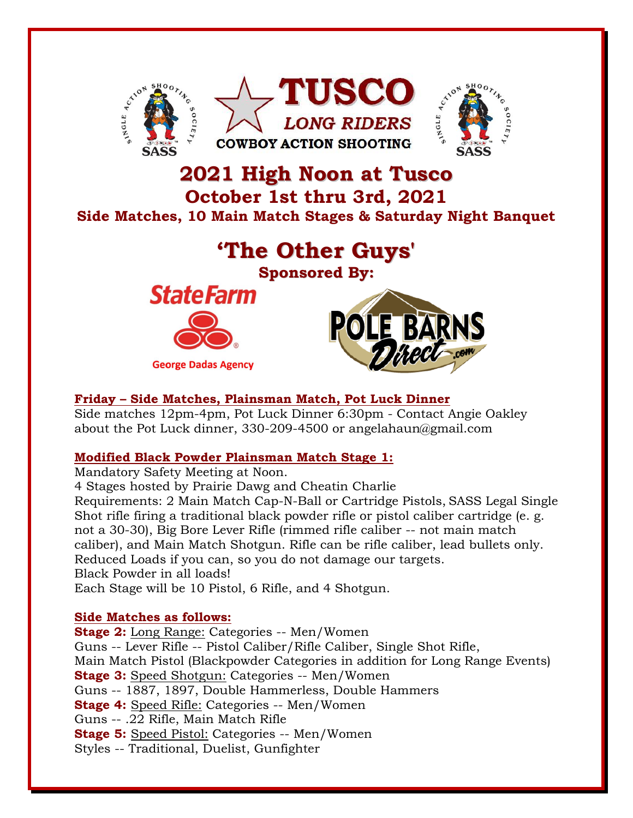

# **2021 High Noon at Tusco October 1st thru 3rd, 2021 Side Matches, 10 Main Match Stages & Saturday Night Banquet**



# **Friday – Side Matches, Plainsman Match, Pot Luck Dinner**

Side matches 12pm-4pm, Pot Luck Dinner 6:30pm - Contact Angie Oakley about the Pot Luck dinner, 330-209-4500 or angelahaun@gmail.com

## **Modified Black Powder Plainsman Match Stage 1:**

Mandatory Safety Meeting at Noon.

4 Stages hosted by Prairie Dawg and Cheatin Charlie

Requirements: 2 Main Match Cap-N-Ball or Cartridge Pistols, SASS Legal Single Shot rifle firing a traditional black powder rifle or pistol caliber cartridge (e. g. not a 30-30), Big Bore Lever Rifle (rimmed rifle caliber -- not main match caliber), and Main Match Shotgun. Rifle can be rifle caliber, lead bullets only. Reduced Loads if you can, so you do not damage our targets. Black Powder in all loads!

Each Stage will be 10 Pistol, 6 Rifle, and 4 Shotgun.

## **Side Matches as follows:**

**Stage 2:** Long Range: Categories -- Men/Women Guns -- Lever Rifle -- Pistol Caliber/Rifle Caliber, Single Shot Rifle, Main Match Pistol (Blackpowder Categories in addition for Long Range Events) **Stage 3:** Speed Shotgun: Categories -- Men/Women Guns -- 1887, 1897, Double Hammerless, Double Hammers **Stage 4:** Speed Rifle: Categories -- Men/Women Guns -- .22 Rifle, Main Match Rifle **Stage 5:** Speed Pistol: Categories -- Men/Women Styles -- Traditional, Duelist, Gunfighter